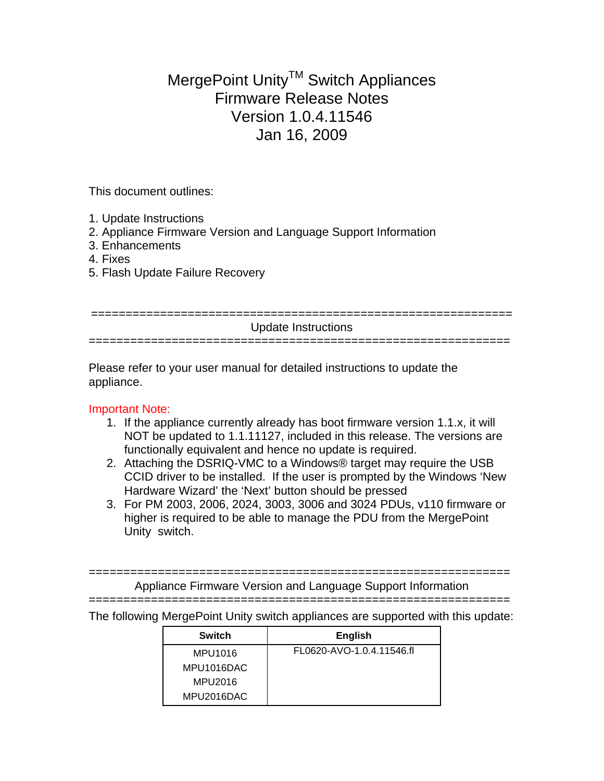## MergePoint Unity™ Switch Appliances Firmware Release Notes Version 1.0.4.11546 Jan 16, 2009

This document outlines:

- 1. Update Instructions
- 2. Appliance Firmware Version and Language Support Information
- 3. Enhancements
- 4. Fixes
- 5. Flash Update Failure Recovery

| Update Instructions |
|---------------------|
|                     |
|                     |

Please refer to your user manual for detailed instructions to update the appliance.

## Important Note:

- 1. If the appliance currently already has boot firmware version 1.1.x, it will NOT be updated to 1.1.11127, included in this release. The versions are functionally equivalent and hence no update is required.
- 2. Attaching the DSRIQ-VMC to a Windows® target may require the USB CCID driver to be installed. If the user is prompted by the Windows 'New Hardware Wizard' the 'Next' button should be pressed
- 3. For PM 2003, 2006, 2024, 3003, 3006 and 3024 PDUs, v110 firmware or higher is required to be able to manage the PDU from the MergePoint Unity switch.

============================================================= Appliance Firmware Version and Language Support Information =============================================================

The following MergePoint Unity switch appliances are supported with this update:

| <b>Switch</b> | <b>English</b>            |
|---------------|---------------------------|
| MPU1016       | FL0620-AVO-1.0.4.11546.fl |
| MPU1016DAC    |                           |
| MPU2016       |                           |
| MPU2016DAC    |                           |